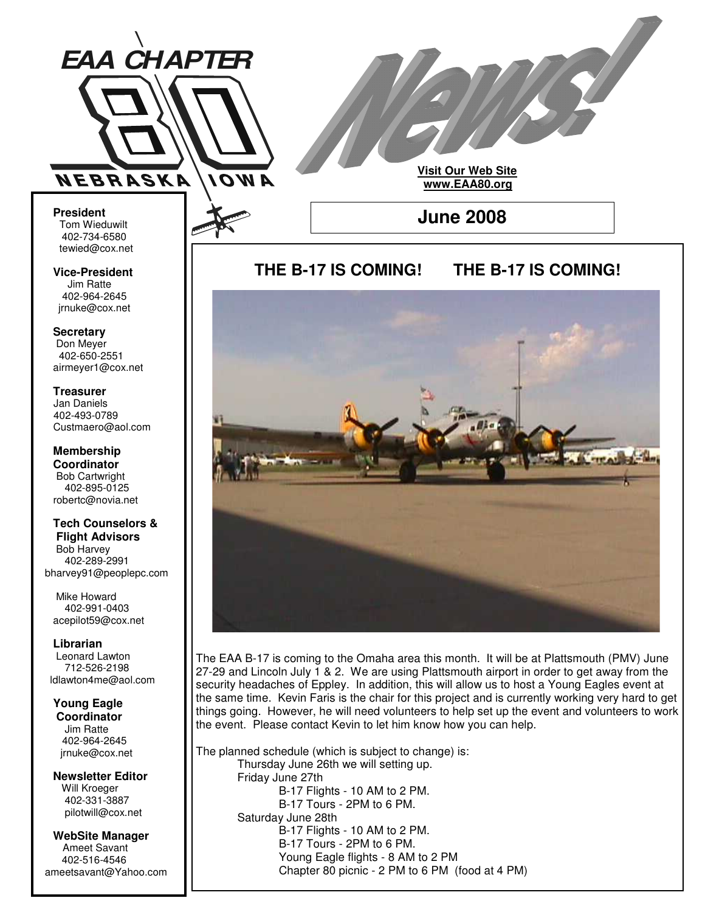

**Visit Our Web Site www.EAA80.org**

**June 2008**

**President** Tom Wieduwilt 402-734-6580 tewied@cox.net

**Vice-President** Jim Ratte 402-964-2645 jrnuke@cox.net

**Secretary** Don Meyer 402-650-2551 airmeyer1@cox.net

**Treasurer** Jan Daniels 402-493-0789 Custmaero@aol.com

**Membership Coordinator** Bob Cartwright 402-895-0125 robertc@novia.net

**Tech Counselors & Flight Advisors**

Bob Harvey 402-289-2991 bharvey91@peoplepc.com

Mike Howard 402-991-0403 acepilot59@cox.net

**Librarian** Leonard Lawton 712-526-2198 ldlawton4me@aol.com

**Young Eagle Coordinator** Jim Ratte 402-964-2645 jrnuke@cox.net

**Newsletter Editor** Will Kroeger 402-331-3887 pilotwill@cox.net

**WebSite Manager** Ameet Savant 402-516-4546 ameetsavant@Yahoo.com

# **THE B-17 IS COMING! THE B-17 IS COMING!**



The EAA B-17 is coming to the Omaha area this month. It will be at Plattsmouth (PMV) June 27-29 and Lincoln July 1 & 2. We are using Plattsmouth airport in order to get away from the security headaches of Eppley. In addition, this will allow us to host a Young Eagles event at the same time. Kevin Faris is the chair for this project and is currently working very hard to get things going. However, he will need volunteers to help set up the event and volunteers to work the event. Please contact Kevin to let him know how you can help.

The planned schedule (which is subject to change) is: Thursday June 26th we will setting up. Friday June 27th B-17 Flights - 10 AM to 2 PM. B-17 Tours - 2PM to 6 PM. Saturday June 28th B-17 Flights - 10 AM to 2 PM. B-17 Tours - 2PM to 6 PM. Young Eagle flights - 8 AM to 2 PM Chapter 80 picnic - 2 PM to 6 PM (food at 4 PM)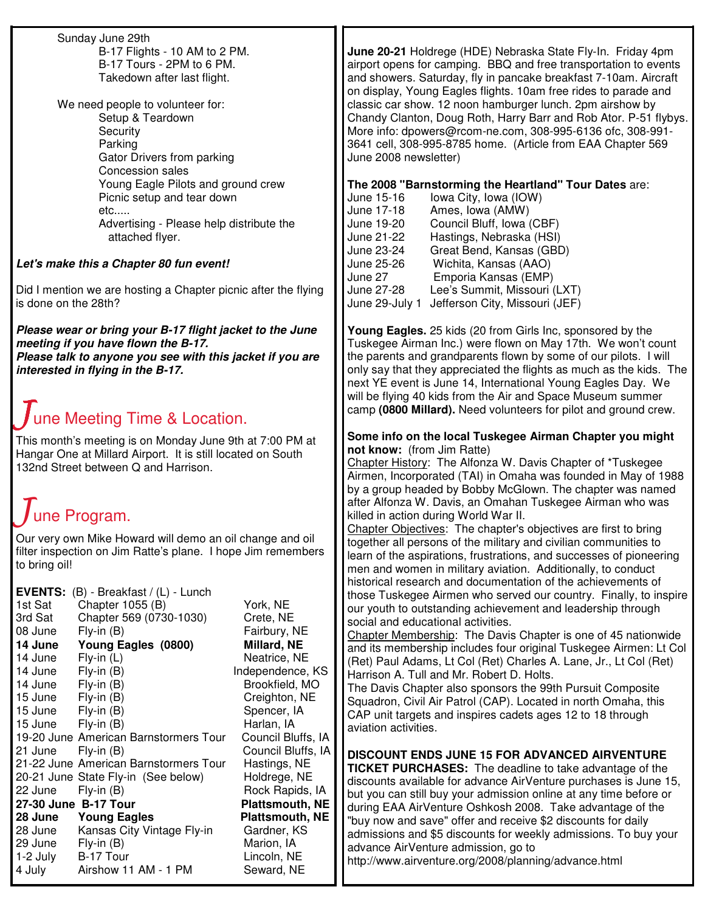Sunday June 29th B-17 Flights - 10 AM to 2 PM. B-17 Tours - 2PM to 6 PM. Takedown after last flight.

We need people to volunteer for: Setup & Teardown **Security** Parking Gator Drivers from parking Concession sales Young Eagle Pilots and ground crew Picnic setup and tear down etc..... Advertising - Please help distribute the attached flyer.

# *Let's make this a Chapter 80 fun event!*

Did I mention we are hosting a Chapter picnic after the flying is done on the 28th?

*Please wear or bring your B-17 flight jacket to the June meeting if you have flown the B-17. Please talk to anyone you see with this jacket if you are interested in flying in the B-17.*

# une Meeting Time & Location.

This month's meeting is on Monday June 9th at 7:00 PM at Hangar One at Millard Airport. It is still located on South 132nd Street between Q and Harrison.

# une Program.

Our very own Mike Howard will demo an oil change and oil filter inspection on Jim Ratte's plane. I hope Jim remembers to bring oil!

| <b>EVENTS:</b> $(B)$ - Breakfast / $(L)$ - Lunch |                                       |                        |
|--------------------------------------------------|---------------------------------------|------------------------|
| 1st Sat                                          | Chapter 1055 (B)                      | York, NE               |
| 3rd Sat                                          | Chapter 569 (0730-1030)               | Crete, NE              |
| 08 June                                          | $Fly-in(B)$                           | Fairbury, NE           |
| 14 June                                          | Young Eagles (0800)                   | Millard, NE            |
| 14 June                                          | $Fly$ -in $(L)$                       | Neatrice, NE           |
| 14 June                                          | $Fly-in(B)$                           | Independence, KS       |
| 14 June                                          | $Fly-in(B)$                           | Brookfield, MO         |
| 15 June                                          | $Fly-in(B)$                           | Creighton, NE          |
| 15 June                                          | $Fly-in(B)$                           | Spencer, IA            |
| 15 June                                          | Fly-in (B)                            | Harlan, IA             |
|                                                  | 19-20 June American Barnstormers Tour | Council Bluffs, IA     |
| 21 June                                          | $Fly$ -in $(B)$                       | Council Bluffs, IA     |
|                                                  | 21-22 June American Barnstormers Tour | Hastings, NE           |
|                                                  | 20-21 June State Fly-in (See below)   | Holdrege, NE           |
| 22 June                                          | $Fly-in(B)$                           | Rock Rapids, IA        |
| 27-30 June B-17 Tour                             |                                       | <b>Plattsmouth, NE</b> |
| 28 June                                          | <b>Young Eagles</b>                   | <b>Plattsmouth, NE</b> |
| 28 June                                          | Kansas City Vintage Fly-in            | Gardner, KS            |
| 29 June                                          | $Fly-in(B)$                           | Marion, IA             |
| 1-2 July                                         | B-17 Tour                             | Lincoln, NE            |
| 4 July                                           | Airshow 11 AM - 1 PM                  | Seward, NE             |

**June 20-21** Holdrege (HDE) Nebraska State Fly-In. Friday 4pm airport opens for camping. BBQ and free transportation to events and showers. Saturday, fly in pancake breakfast 7-10am. Aircraft on display, Young Eagles flights. 10am free rides to parade and classic car show. 12 noon hamburger lunch. 2pm airshow by Chandy Clanton, Doug Roth, Harry Barr and Rob Ator. P-51 flybys. More info: dpowers@rcom-ne.com, 308-995-6136 ofc, 308-991- 3641 cell, 308-995-8785 home. (Article from EAA Chapter 569 June 2008 newsletter)

**The 2008 "Barnstorming the Heartland" Tour Dates** are:

| June 15-16     | lowa City, Iowa (IOW)          |
|----------------|--------------------------------|
| June 17-18     | Ames, Iowa (AMW)               |
| June 19-20     | Council Bluff, Iowa (CBF)      |
| June 21-22     | Hastings, Nebraska (HSI)       |
| June 23-24     | Great Bend, Kansas (GBD)       |
| June 25-26     | Wichita, Kansas (AAO)          |
| June 27        | Emporia Kansas (EMP)           |
| June 27-28     | Lee's Summit, Missouri (LXT)   |
| June 29-July 1 | Jefferson City, Missouri (JEF) |

**Young Eagles.** 25 kids (20 from Girls Inc, sponsored by the Tuskegee Airman Inc.) were flown on May 17th. We won't count the parents and grandparents flown by some of our pilots. I will only say that they appreciated the flights as much as the kids. The next YE event is June 14, International Young Eagles Day. We will be flying 40 kids from the Air and Space Museum summer camp **(0800 Millard).** Need volunteers for pilot and ground crew.

## **Some info on the local Tuskegee Airman Chapter you might not know:** (from Jim Ratte)

Chapter History: The Alfonza W. Davis Chapter of \*Tuskegee Airmen, Incorporated (TAI) in Omaha was founded in May of 1988 by a group headed by Bobby McGlown. The chapter was named after Alfonza W. Davis, an Omahan Tuskegee Airman who was killed in action during World War II.

Chapter Objectives: The chapter's objectives are first to bring together all persons of the military and civilian communities to learn of the aspirations, frustrations, and successes of pioneering men and women in military aviation. Additionally, to conduct historical research and documentation of the achievements of those Tuskegee Airmen who served our country. Finally, to inspire our youth to outstanding achievement and leadership through social and educational activities.

Chapter Membership: The Davis Chapter is one of 45 nationwide and its membership includes four original Tuskegee Airmen: Lt Col (Ret) Paul Adams, Lt Col (Ret) Charles A. Lane, Jr., Lt Col (Ret) Harrison A. Tull and Mr. Robert D. Holts.

The Davis Chapter also sponsors the 99th Pursuit Composite Squadron, Civil Air Patrol (CAP). Located in north Omaha, this CAP unit targets and inspires cadets ages 12 to 18 through aviation activities.

**DISCOUNT ENDS JUNE 15 FOR ADVANCED AIRVENTURE TICKET PURCHASES:** The deadline to take advantage of the discounts available for advance AirVenture purchases is June 15, but you can still buy your admission online at any time before or during EAA AirVenture Oshkosh 2008. Take advantage of the "buy now and save" offer and receive \$2 discounts for daily admissions and \$5 discounts for weekly admissions. To buy your advance AirVenture admission, go to http://www.airventure.org/2008/planning/advance.html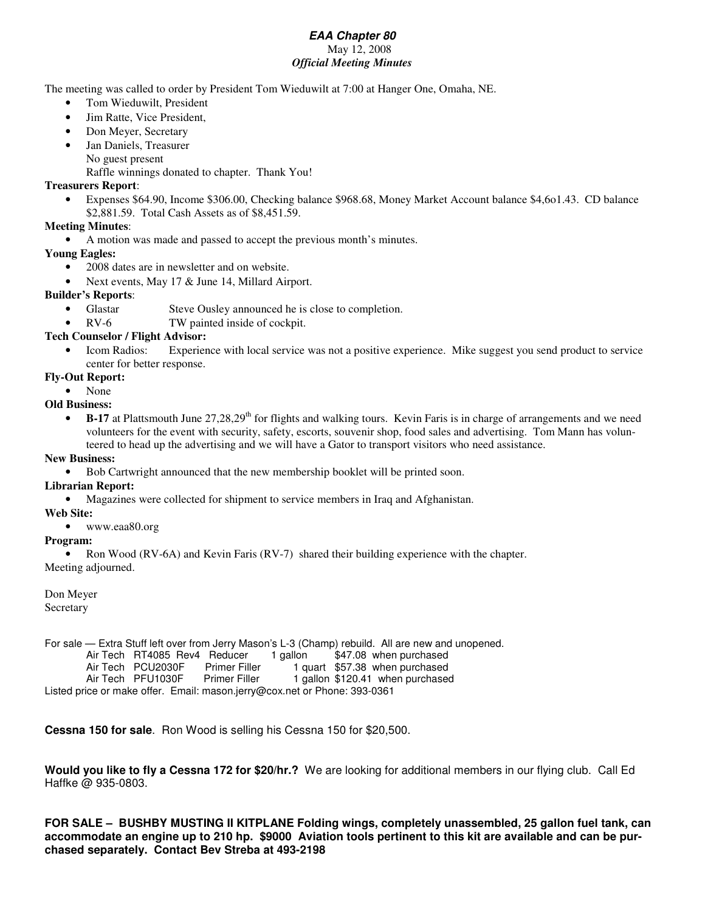#### *EAA Chapter 80* May 12, 2008 *Official Meeting Minutes*

The meeting was called to order by President Tom Wieduwilt at 7:00 at Hanger One, Omaha, NE.

- Tom Wieduwilt, President
- Jim Ratte, Vice President,
- Don Meyer, Secretary
- Jan Daniels, Treasurer
- No guest present

Raffle winnings donated to chapter. Thank You!

#### **Treasurers Report**:

• Expenses \$64.90, Income \$306.00, Checking balance \$968.68, Money Market Account balance \$4,6o1.43. CD balance \$2,881.59. Total Cash Assets as of \$8,451.59.

### **Meeting Minutes**:

- A motion was made and passed to accept the previous month's minutes.
- **Young Eagles:**
	- 2008 dates are in newsletter and on website.
	- Next events, May 17 & June 14, Millard Airport.

#### **Builder's Reports**:

- Glastar Steve Ousley announced he is close to completion.
- RV-6 TW painted inside of cockpit.

#### **Tech Counselor / Flight Advisor:**

- Icom Radios: Experience with local service was not a positive experience. Mike suggest you send product to service center for better response.
- **Fly-Out Report:**
	- None

### **Old Business:**

• B-17 at Plattsmouth June 27,28,29<sup>th</sup> for flights and walking tours. Kevin Faris is in charge of arrangements and we need volunteers for the event with security, safety, escorts, souvenir shop, food sales and advertising. Tom Mann has volunteered to head up the advertising and we will have a Gator to transport visitors who need assistance.

#### **New Business:**

• Bob Cartwright announced that the new membership booklet will be printed soon.

#### **Librarian Report:**

• Magazines were collected for shipment to service members in Iraq and Afghanistan.

#### **Web Site:**

• www.eaa80.org

#### **Program:**

• Ron Wood (RV-6A) and Kevin Faris (RV-7) shared their building experience with the chapter.

Meeting adjourned.

Don Meyer Secretary

For sale — Extra Stuff left over from Jerry Mason's L-3 (Champ) rebuild. All are new and unopened. Air Tech RT4085 Rev4 Reducer 1 gallon \$47.08 when purchased

Air Tech PCU2030F Primer Filler 1 quart \$57.38 when purchased<br>Air Tech PFU1030F Primer Filler 1 gallon \$120.41 when purchased 1 gallon \$120.41 when purchased

Listed price or make offer. Email: mason.jerry@cox.net or Phone: 393-0361

**Cessna 150 for sale**. Ron Wood is selling his Cessna 150 for \$20,500.

**Would you like to fly a Cessna 172 for \$20/hr.?** We are looking for additional members in our flying club. Call Ed Haffke @ 935-0803.

**FOR SALE – BUSHBY MUSTING II KITPLANE Folding wings, completely unassembled, 25 gallon fuel tank, can** accommodate an engine up to 210 hp. \$9000 Aviation tools pertinent to this kit are available and can be pur**chased separately. Contact Bev Streba at 493-2198**